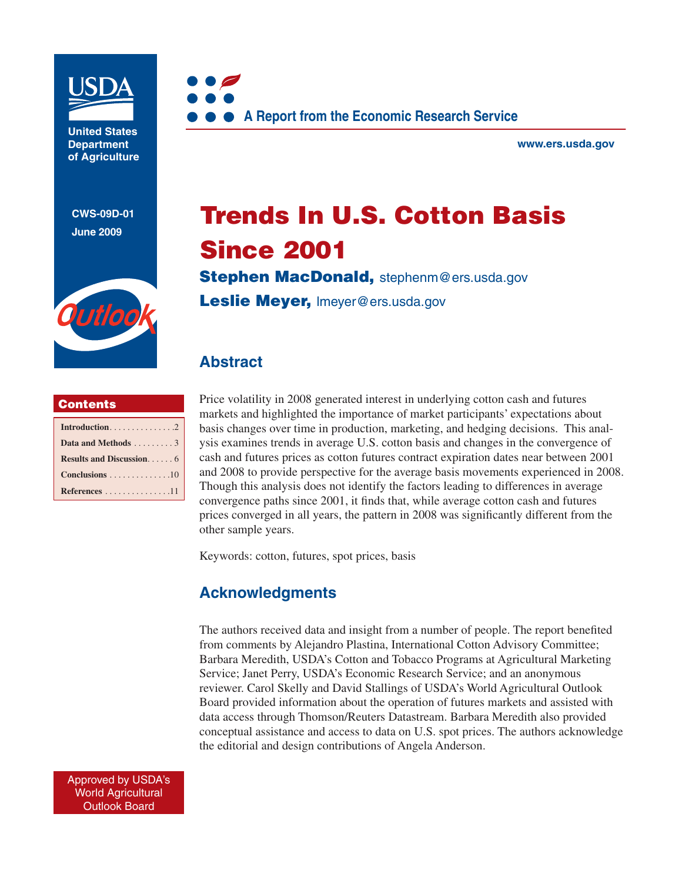

**United States Department of Agriculture** 

**CWS-09D-01 June 2009**





**www.ers.usda.gov** 

# **Trends In U.S. Cotton Basis Since 2001**

**Stephen MacDonald,** stephenm@ers.usda.gov

**Leslie Meyer,** lmeyer@ers.usda.gov

# **Abstract**

### **Contents**

| Data and Methods 3                            |
|-----------------------------------------------|
|                                               |
| Conclusions $\ldots \ldots \ldots \ldots 10$  |
| References $\dots \dots \dots \dots \dots 11$ |

Price volatility in 2008 generated interest in underlying cotton cash and futures markets and highlighted the importance of market participants' expectations about basis changes over time in production, marketing, and hedging decisions. This analysis examines trends in average U.S. cotton basis and changes in the convergence of cash and futures prices as cotton futures contract expiration dates near between 2001 and 2008 to provide perspective for the average basis movements experienced in 2008. Though this analysis does not identify the factors leading to differences in average convergence paths since 2001, it finds that, while average cotton cash and futures prices converged in all years, the pattern in 2008 was significantly different from the other sample years.

Keywords: cotton, futures, spot prices, basis

### **Acknowledgments**

The authors received data and insight from a number of people. The report benefited from comments by Alejandro Plastina, International Cotton Advisory Committee; Barbara Meredith, USDA's Cotton and Tobacco Programs at Agricultural Marketing Service; Janet Perry, USDA's Economic Research Service; and an anonymous reviewer. Carol Skelly and David Stallings of USDA's World Agricultural Outlook Board provided information about the operation of futures markets and assisted with data access through Thomson/Reuters Datastream. Barbara Meredith also provided conceptual assistance and access to data on U.S. spot prices. The authors acknowledge the editorial and design contributions of Angela Anderson.

Approved by USDA's World Agricultural Outlook Board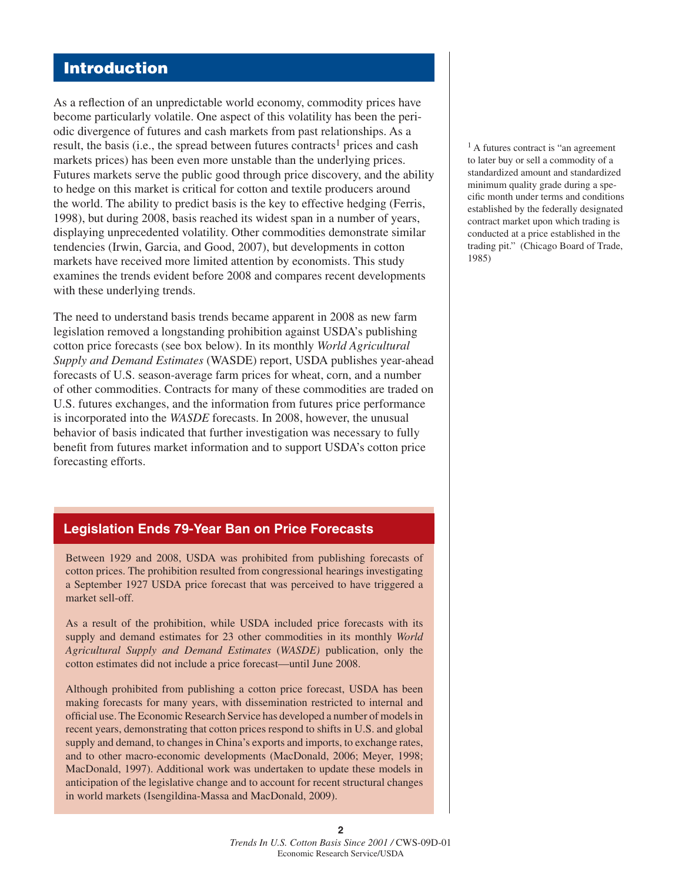### **Introduction**

As a reflection of an unpredictable world economy, commodity prices have become particularly volatile. One aspect of this volatility has been the periodic divergence of futures and cash markets from past relationships. As a result, the basis (i.e., the spread between futures contracts<sup>1</sup> prices and cash markets prices) has been even more unstable than the underlying prices. Futures markets serve the public good through price discovery, and the ability to hedge on this market is critical for cotton and textile producers around the world. The ability to predict basis is the key to effective hedging (Ferris, 1998), but during 2008, basis reached its widest span in a number of years, displaying unprecedented volatility. Other commodities demonstrate similar tendencies (Irwin, Garcia, and Good, 2007), but developments in cotton markets have received more limited attention by economists. This study examines the trends evident before 2008 and compares recent developments with these underlying trends.

The need to understand basis trends became apparent in 2008 as new farm legislation removed a longstanding prohibition against USDA's publishing cotton price forecasts (see box below). In its monthly *World Agricultural Supply and Demand Estimates* (WASDE) report, USDA publishes year-ahead forecasts of U.S. season-average farm prices for wheat, corn, and a number of other commodities. Contracts for many of these commodities are traded on U.S. futures exchanges, and the information from futures price performance is incorporated into the *WASDE* forecasts. In 2008, however, the unusual behavior of basis indicated that further investigation was necessary to fully benefit from futures market information and to support USDA's cotton price forecasting efforts.

### **Legislation Ends 79-Year Ban on Price Forecasts**

Between 1929 and 2008, USDA was prohibited from publishing forecasts of cotton prices. The prohibition resulted from congressional hearings investigating a September 1927 USDA price forecast that was perceived to have triggered a market sell-off.

As a result of the prohibition, while USDA included price forecasts with its supply and demand estimates for 23 other commodities in its monthly *World Agricultural Supply and Demand Estimates* (*WASDE)* publication, only the cotton estimates did not include a price forecast—until June 2008.

Although prohibited from publishing a cotton price forecast, USDA has been making forecasts for many years, with dissemination restricted to internal and official use. The Economic Research Service has developed a number of models in recent years, demonstrating that cotton prices respond to shifts in U.S. and global supply and demand, to changes in China's exports and imports, to exchange rates, and to other macro-economic developments (MacDonald, 2006; Meyer, 1998; MacDonald, 1997). Additional work was undertaken to update these models in anticipation of the legislative change and to account for recent structural changes in world markets (Isengildina-Massa and MacDonald, 2009).

 $<sup>1</sup>$  A futures contract is "an agreement</sup> to later buy or sell a commodity of a standardized amount and standardized minimum quality grade during a specific month under terms and conditions established by the federally designated contract market upon which trading is conducted at a price established in the trading pit." (Chicago Board of Trade, 1985)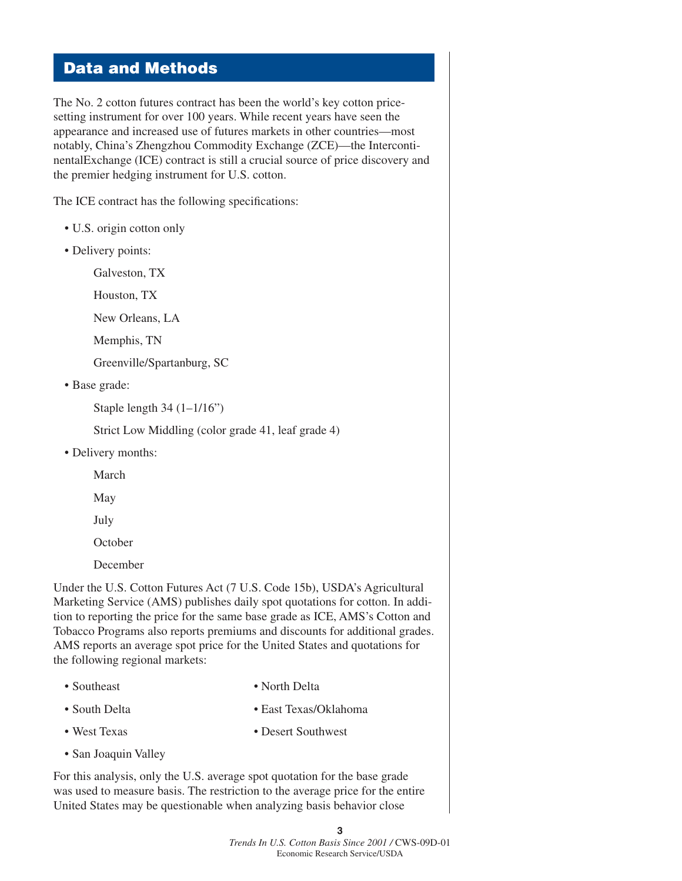### **Data and Methods**

The No. 2 cotton futures contract has been the world's key cotton pricesetting instrument for over 100 years. While recent years have seen the appearance and increased use of futures markets in other countries—most notably, China's Zhengzhou Commodity Exchange (ZCE)—the IntercontinentalExchange (ICE) contract is still a crucial source of price discovery and the premier hedging instrument for U.S. cotton.

The ICE contract has the following specifications:

- U.S. origin cotton only
- Delivery points:

Galveston, TX

Houston, TX

New Orleans, LA

Memphis, TN

Greenville/Spartanburg, SC

• Base grade:

Staple length 34 (1–1/16")

Strict Low Middling (color grade 41, leaf grade 4)

• Delivery months:

March

May

July

**October** 

December

Under the U.S. Cotton Futures Act (7 U.S. Code 15b), USDA's Agricultural Marketing Service (AMS) publishes daily spot quotations for cotton. In addition to reporting the price for the same base grade as ICE, AMS's Cotton and Tobacco Programs also reports premiums and discounts for additional grades. AMS reports an average spot price for the United States and quotations for the following regional markets:

- 
- Southeast North Delta
- South Delta East Texas/Oklahoma
- West Texas Desert Southwest
- San Joaquin Valley

For this analysis, only the U.S. average spot quotation for the base grade was used to measure basis. The restriction to the average price for the entire United States may be questionable when analyzing basis behavior close

> **3** *Trends In U.S. Cotton Basis Since 2001 /* CWS-09D-01 Economic Research Service/USDA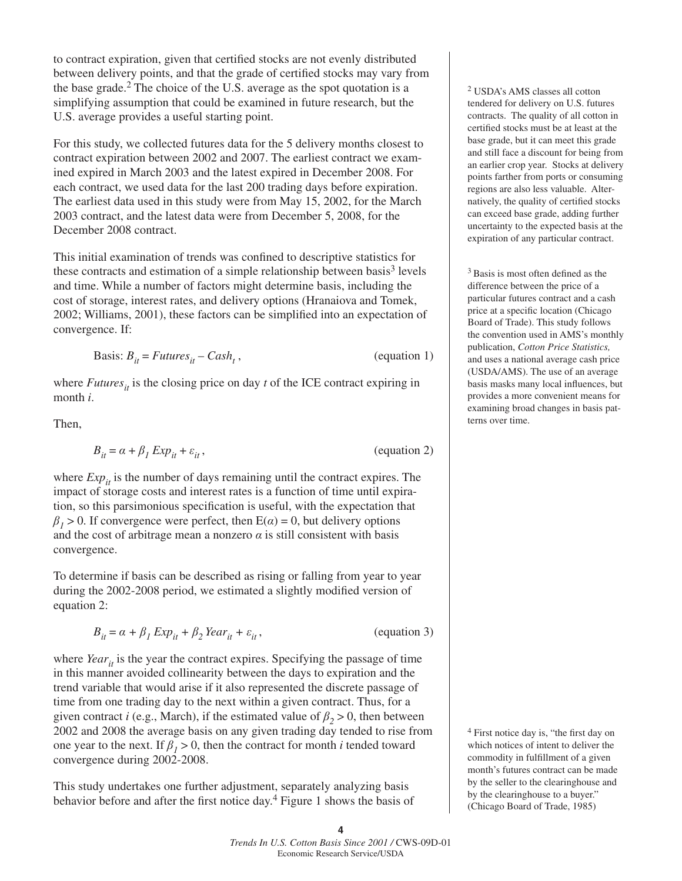to contract expiration, given that certified stocks are not evenly distributed between delivery points, and that the grade of certified stocks may vary from the base grade.2 The choice of the U.S. average as the spot quotation is a simplifying assumption that could be examined in future research, but the U.S. average provides a useful starting point.

For this study, we collected futures data for the 5 delivery months closest to contract expiration between 2002 and 2007. The earliest contract we examined expired in March 2003 and the latest expired in December 2008. For each contract, we used data for the last 200 trading days before expiration. The earliest data used in this study were from May 15, 2002, for the March 2003 contract, and the latest data were from December 5, 2008, for the December 2008 contract.

This initial examination of trends was confined to descriptive statistics for these contracts and estimation of a simple relationship between basis<sup>3</sup> levels and time. While a number of factors might determine basis, including the cost of storage, interest rates, and delivery options (Hranaiova and Tomek, 2002; Williams, 2001), these factors can be simplified into an expectation of convergence. If:

$$
Basis: B_{it} = Futures_{it} - Cash_t,
$$
 (equation 1)

where  $Futures_{it}$  is the closing price on day *t* of the ICE contract expiring in month *i*.

Then,

$$
B_{it} = \alpha + \beta_1 \, Exp_{it} + \varepsilon_{it}, \tag{equation 2}
$$

where  $Exp_{it}$  is the number of days remaining until the contract expires. The impact of storage costs and interest rates is a function of time until expiration, so this parsimonious specification is useful, with the expectation that  $\beta$ <sub>*1*</sub> > 0. If convergence were perfect, then E( $\alpha$ ) = 0, but delivery options and the cost of arbitrage mean a nonzero  $\alpha$  is still consistent with basis convergence.

To determine if basis can be described as rising or falling from year to year during the 2002-2008 period, we estimated a slightly modified version of equation 2:

$$
B_{it} = \alpha + \beta_1 \, Exp_{it} + \beta_2 \, Year_{it} + \varepsilon_{it}, \tag{equation 3}
$$

where *Year*<sub>*it*</sub> is the year the contract expires. Specifying the passage of time in this manner avoided collinearity between the days to expiration and the trend variable that would arise if it also represented the discrete passage of time from one trading day to the next within a given contract. Thus, for a given contract *i* (e.g., March), if the estimated value of  $\beta$ <sub>2</sub> > 0, then between 2002 and 2008 the average basis on any given trading day tended to rise from one year to the next. If  $\beta_1 > 0$ , then the contract for month *i* tended toward convergence during 2002-2008.

This study undertakes one further adjustment, separately analyzing basis behavior before and after the first notice day.<sup>4</sup> Figure 1 shows the basis of 2 USDA's AMS classes all cotton tendered for delivery on U.S. futures contracts. The quality of all cotton in certified stocks must be at least at the base grade, but it can meet this grade and still face a discount for being from an earlier crop year. Stocks at delivery points farther from ports or consuming regions are also less valuable. Alternatively, the quality of certified stocks can exceed base grade, adding further uncertainty to the expected basis at the expiration of any particular contract.

 $3$  Basis is most often defined as the difference between the price of a particular futures contract and a cash price at a specific location (Chicago Board of Trade). This study follows the convention used in AMS's monthly publication, *Cotton Price Statistics,* and uses a national average cash price (USDA/AMS). The use of an average basis masks many local influences, but provides a more convenient means for examining broad changes in basis patterns over time.

 $4$  First notice day is, "the first day on which notices of intent to deliver the commodity in fulfillment of a given month's futures contract can be made by the seller to the clearinghouse and by the clearinghouse to a buyer." (Chicago Board of Trade, 1985)

**<sup>4</sup>** *Trends In U.S. Cotton Basis Since 2001 /* CWS-09D-01 Economic Research Service/USDA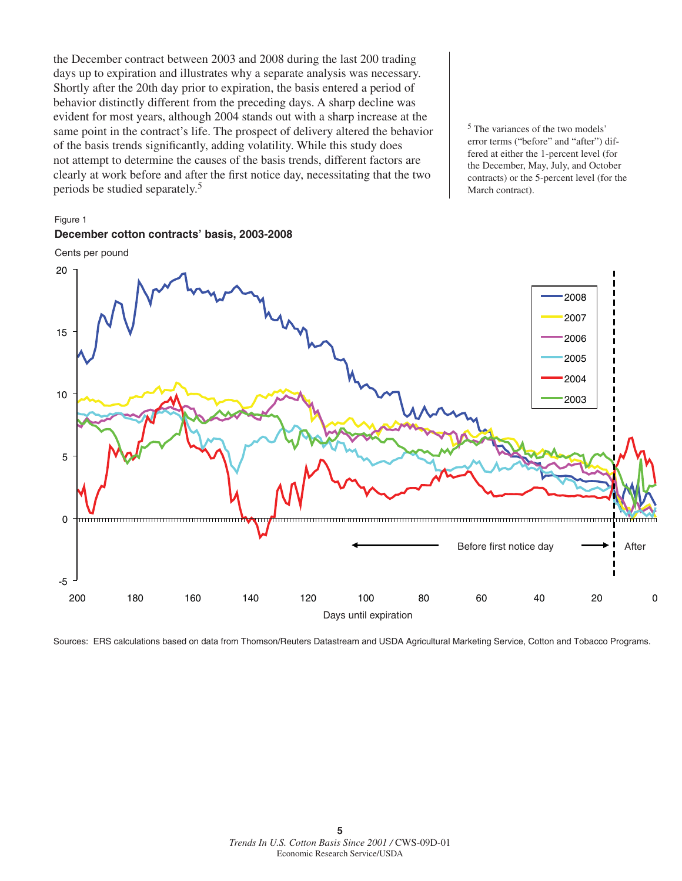the December contract between 2003 and 2008 during the last 200 trading days up to expiration and illustrates why a separate analysis was necessary. Shortly after the 20th day prior to expiration, the basis entered a period of behavior distinctly different from the preceding days. A sharp decline was evident for most years, although 2004 stands out with a sharp increase at the same point in the contract's life. The prospect of delivery altered the behavior of the basis trends significantly, adding volatility. While this study does not attempt to determine the causes of the basis trends, different factors are clearly at work before and after the first notice day, necessitating that the two periods be studied separately.5

5 The variances of the two models' error terms ("before" and "after") differed at either the 1-percent level (for the December, May, July, and October contracts) or the 5-percent level (for the March contract).

#### Figure 1

#### **December cotton contracts' basis, 2003-2008**

Cents per pound



Sources: ERS calculations based on data from Thomson/Reuters Datastream and USDA Agricultural Marketing Service, Cotton and Tobacco Programs.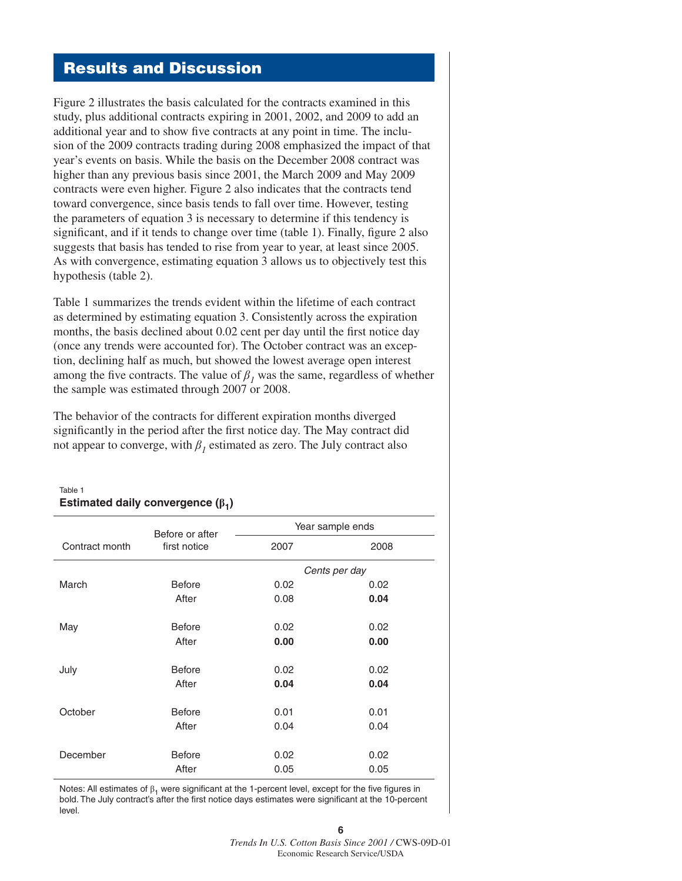### **Results and Discussion**

Figure 2 illustrates the basis calculated for the contracts examined in this study, plus additional contracts expiring in 2001, 2002, and 2009 to add an additional year and to show five contracts at any point in time. The inclusion of the 2009 contracts trading during 2008 emphasized the impact of that year's events on basis. While the basis on the December 2008 contract was higher than any previous basis since 2001, the March 2009 and May 2009 contracts were even higher. Figure 2 also indicates that the contracts tend toward convergence, since basis tends to fall over time. However, testing the parameters of equation 3 is necessary to determine if this tendency is significant, and if it tends to change over time (table 1). Finally, figure 2 also suggests that basis has tended to rise from year to year, at least since 2005. As with convergence, estimating equation 3 allows us to objectively test this hypothesis (table 2).

Table 1 summarizes the trends evident within the lifetime of each contract as determined by estimating equation 3. Consistently across the expiration months, the basis declined about 0.02 cent per day until the first notice day (once any trends were accounted for). The October contract was an exception, declining half as much, but showed the lowest average open interest among the five contracts. The value of  $\beta$ <sub>*I*</sub> was the same, regardless of whether the sample was estimated through 2007 or 2008.

The behavior of the contracts for different expiration months diverged significantly in the period after the first notice day. The May contract did not appear to converge, with  $\beta_1$  estimated as zero. The July contract also

Table 1

## **Estimated daily convergence (** $β$ **<sup>1</sup>)** Year sample ends Contract month Before or after first notice 2007 2008 *Cents per day* March Before 0.02 0.02 After 0.08 **0.04** May **Before** 0.02 0.02 After **0.00 0.00** July Before 0.02 0.02 After **0.04 0.04** October Before 0.01 0.01 After 0.04 0.04 December Before 0.02 0.02 After 0.05 0.05

Notes: All estimates of  $\beta_1$  were significant at the 1-percent level, except for the five figures in bold. The July contract's after the first notice days estimates were significant at the 10-percent level.

**6**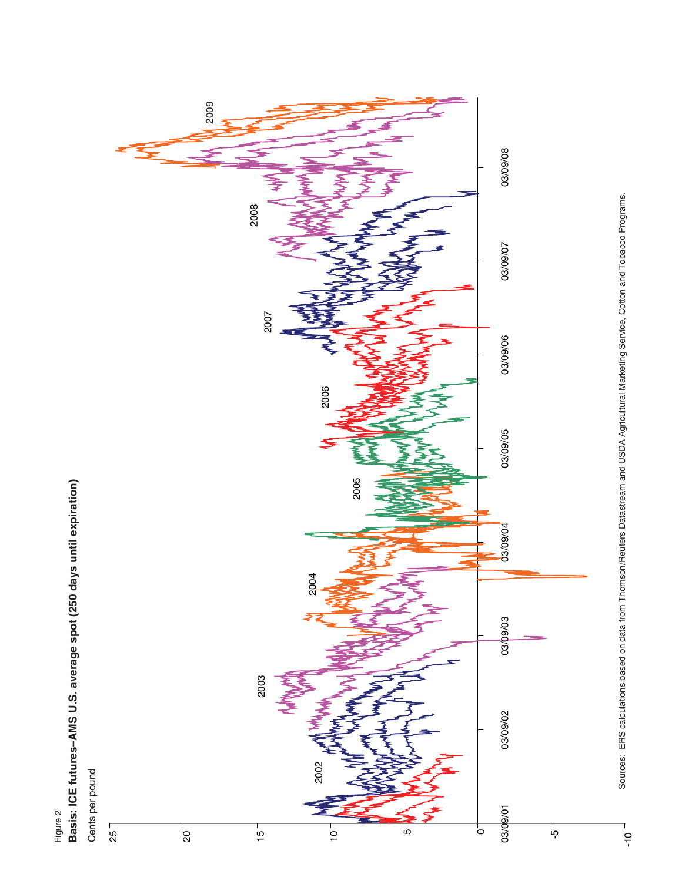

Figure 2

Sources: ERS calculations based on data from Thomson/Reuters Datastream and USDA Agricultural Marketing Service, Cotton and Tobacco Programs. Sources: ERS calculations based on data from Thomson/Reuters Datastream and USDA Agricultural Marketing Service, Cotton and Tobacco Programs.

–<br>ר<br>-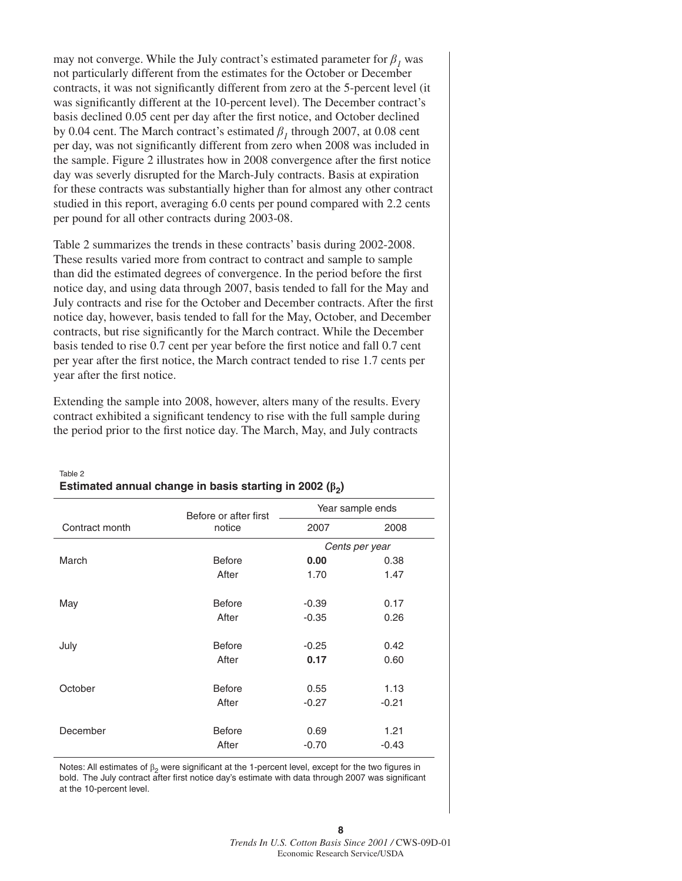may not converge. While the July contract's estimated parameter for  $\beta_1$  was not particularly different from the estimates for the October or December contracts, it was not significantly different from zero at the 5-percent level (it was significantly different at the 10-percent level). The December contract's basis declined 0.05 cent per day after the first notice, and October declined by 0.04 cent. The March contract's estimated  $\beta_1$  through 2007, at 0.08 cent per day, was not significantly different from zero when 2008 was included in the sample. Figure 2 illustrates how in 2008 convergence after the first notice day was severly disrupted for the March-July contracts. Basis at expiration for these contracts was substantially higher than for almost any other contract studied in this report, averaging 6.0 cents per pound compared with 2.2 cents per pound for all other contracts during 2003-08.

Table 2 summarizes the trends in these contracts' basis during 2002-2008. These results varied more from contract to contract and sample to sample than did the estimated degrees of convergence. In the period before the first notice day, and using data through 2007, basis tended to fall for the May and July contracts and rise for the October and December contracts. After the first notice day, however, basis tended to fall for the May, October, and December contracts, but rise significantly for the March contract. While the December basis tended to rise 0.7 cent per year before the first notice and fall 0.7 cent per year after the first notice, the March contract tended to rise 1.7 cents per year after the first notice.

Extending the sample into 2008, however, alters many of the results. Every contract exhibited a significant tendency to rise with the full sample during the period prior to the first notice day. The March, May, and July contracts

|                | Before or after first | Year sample ends |         |
|----------------|-----------------------|------------------|---------|
| Contract month | notice                | 2007             | 2008    |
|                |                       | Cents per year   |         |
| March          | <b>Before</b>         | 0.00             | 0.38    |
|                | After                 | 1.70             | 1.47    |
| May            | <b>Before</b>         | $-0.39$          | 0.17    |
|                | After                 | $-0.35$          | 0.26    |
| July           | <b>Before</b>         | $-0.25$          | 0.42    |
|                | After                 | 0.17             | 0.60    |
| October        | <b>Before</b>         | 0.55             | 1.13    |
|                | After                 | $-0.27$          | $-0.21$ |
| December       | <b>Before</b>         | 0.69             | 1.21    |
|                | After                 | $-0.70$          | $-0.43$ |

#### Table 2 **Estimated annual change in basis starting in 2002 (β<sub>2</sub>)**

Notes: All estimates of  $\beta_2$  were significant at the 1-percent level, except for the two figures in bold. The July contract after first notice day's estimate with data through 2007 was significant at the 10-percent level.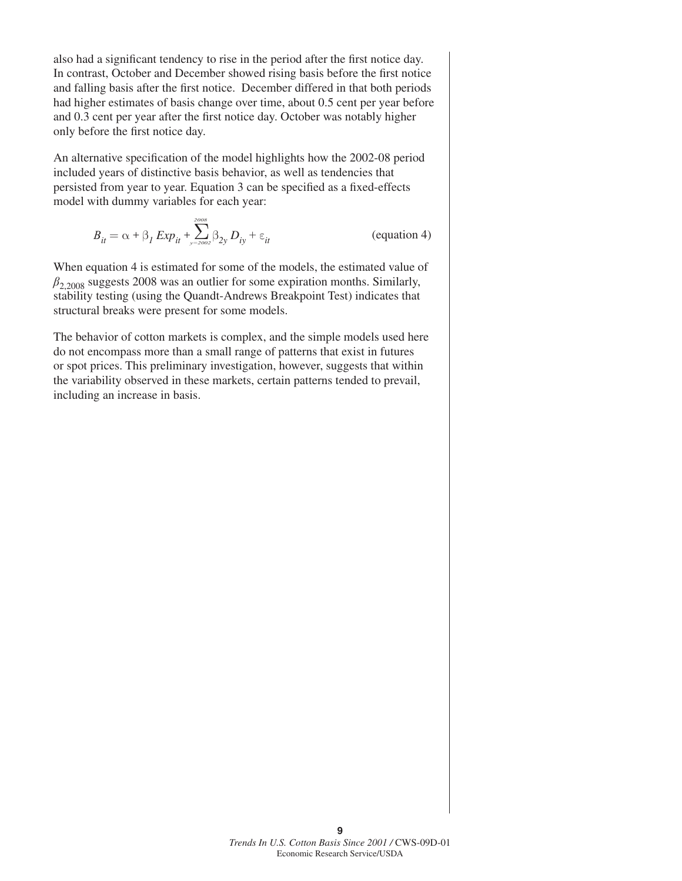also had a significant tendency to rise in the period after the first notice day. In contrast, October and December showed rising basis before the first notice and falling basis after the first notice. December differed in that both periods had higher estimates of basis change over time, about 0.5 cent per year before and 0.3 cent per year after the first notice day. October was notably higher only before the first notice day.

An alternative specification of the model highlights how the 2002-08 period included years of distinctive basis behavior, as well as tendencies that persisted from year to year. Equation 3 can be specified as a fixed-effects model with dummy variables for each year:

$$
B_{it} = \alpha + \beta_I \, Exp_{it} + \sum_{y=2002}^{2008} \beta_{2y} \, D_{iy} + \varepsilon_{it}
$$
 (equation 4)

When equation 4 is estimated for some of the models, the estimated value of  $\beta_{2,2008}$  suggests 2008 was an outlier for some expiration months. Similarly, stability testing (using the Quandt-Andrews Breakpoint Test) indicates that structural breaks were present for some models.

The behavior of cotton markets is complex, and the simple models used here do not encompass more than a small range of patterns that exist in futures or spot prices. This preliminary investigation, however, suggests that within the variability observed in these markets, certain patterns tended to prevail, including an increase in basis.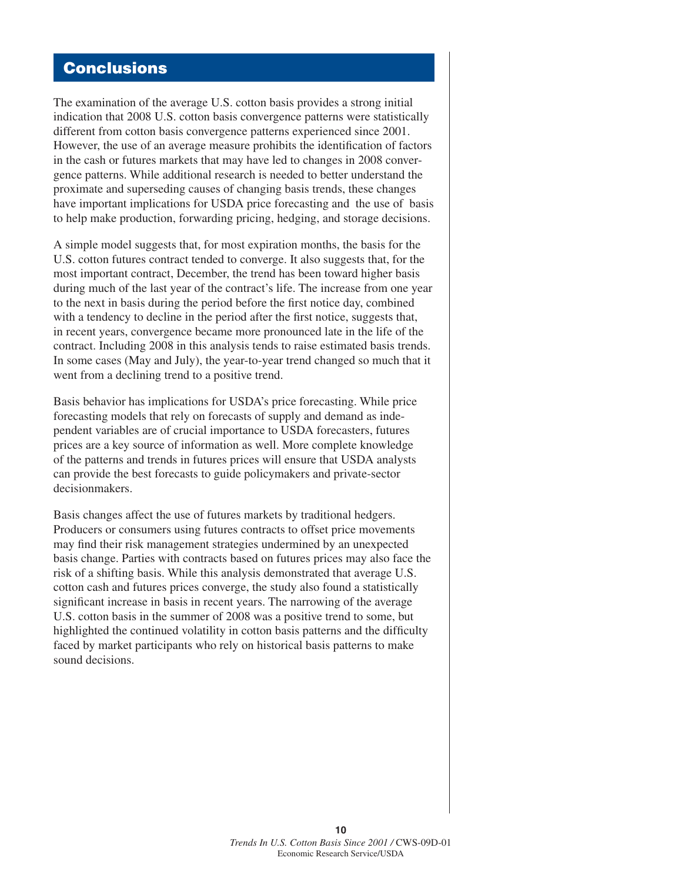### **Conclusions**

The examination of the average U.S. cotton basis provides a strong initial indication that 2008 U.S. cotton basis convergence patterns were statistically different from cotton basis convergence patterns experienced since 2001. However, the use of an average measure prohibits the identification of factors in the cash or futures markets that may have led to changes in 2008 convergence patterns. While additional research is needed to better understand the proximate and superseding causes of changing basis trends, these changes have important implications for USDA price forecasting and the use of basis to help make production, forwarding pricing, hedging, and storage decisions.

A simple model suggests that, for most expiration months, the basis for the U.S. cotton futures contract tended to converge. It also suggests that, for the most important contract, December, the trend has been toward higher basis during much of the last year of the contract's life. The increase from one year to the next in basis during the period before the first notice day, combined with a tendency to decline in the period after the first notice, suggests that, in recent years, convergence became more pronounced late in the life of the contract. Including 2008 in this analysis tends to raise estimated basis trends. In some cases (May and July), the year-to-year trend changed so much that it went from a declining trend to a positive trend.

Basis behavior has implications for USDA's price forecasting. While price forecasting models that rely on forecasts of supply and demand as independent variables are of crucial importance to USDA forecasters, futures prices are a key source of information as well. More complete knowledge of the patterns and trends in futures prices will ensure that USDA analysts can provide the best forecasts to guide policymakers and private-sector decisionmakers.

Basis changes affect the use of futures markets by traditional hedgers. Producers or consumers using futures contracts to offset price movements may find their risk management strategies undermined by an unexpected basis change. Parties with contracts based on futures prices may also face the risk of a shifting basis. While this analysis demonstrated that average U.S. cotton cash and futures prices converge, the study also found a statistically significant increase in basis in recent years. The narrowing of the average U.S. cotton basis in the summer of 2008 was a positive trend to some, but highlighted the continued volatility in cotton basis patterns and the difficulty faced by market participants who rely on historical basis patterns to make sound decisions.